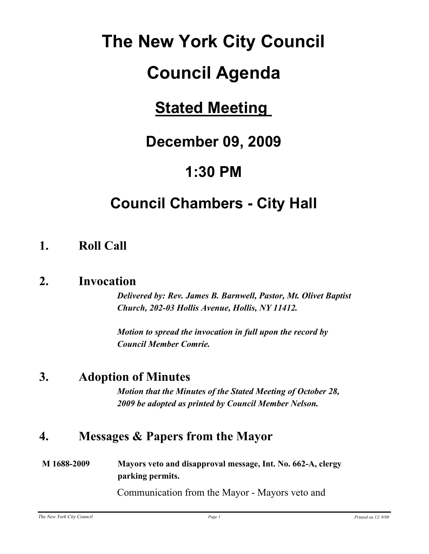# **The New York City Council**

# **Council Agenda**

## **Stated Meeting**

## **December 09, 2009**

## **1:30 PM**

## **Council Chambers - City Hall**

## **1. Roll Call**

#### **2. Invocation**

*Delivered by: Rev. James B. Barnwell, Pastor, Mt. Olivet Baptist Church, 202-03 Hollis Avenue, Hollis, NY 11412.*

*Motion to spread the invocation in full upon the record by Council Member Comrie.*

## **3. Adoption of Minutes**

*Motion that the Minutes of the Stated Meeting of October 28, 2009 be adopted as printed by Council Member Nelson.*

## **4. Messages & Papers from the Mayor**

#### **M 1688-2009 Mayors veto and disapproval message, Int. No. 662-A, clergy parking permits.**

Communication from the Mayor - Mayors veto and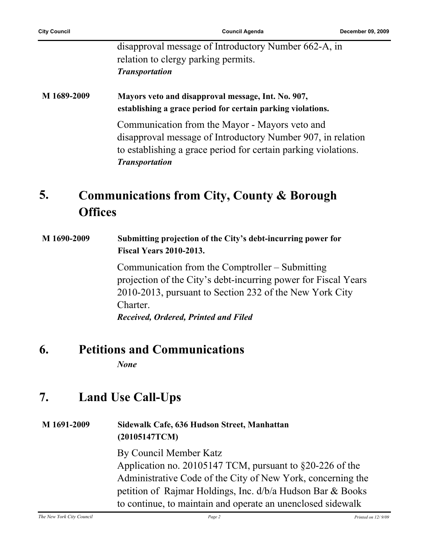|             | disapproval message of Introductory Number 662-A, in<br>relation to clergy parking permits.<br><b>Transportation</b>                                                                                     |
|-------------|----------------------------------------------------------------------------------------------------------------------------------------------------------------------------------------------------------|
| M 1689-2009 | Mayors veto and disapproval message, Int. No. 907,<br>establishing a grace period for certain parking violations.                                                                                        |
|             | Communication from the Mayor - Mayors veto and<br>disapproval message of Introductory Number 907, in relation<br>to establishing a grace period for certain parking violations.<br><b>Transportation</b> |

#### **Communications from City, County & Borough Offices 5.**

#### **M 1690-2009 Submitting projection of the City's debt-incurring power for Fiscal Years 2010-2013.**

Communication from the Comptroller – Submitting projection of the City's debt-incurring power for Fiscal Years 2010-2013, pursuant to Section 232 of the New York City **Charter** *Received, Ordered, Printed and Filed*

#### **6. Petitions and Communications**

*None*

## **7. Land Use Call-Ups**

#### **M 1691-2009 Sidewalk Cafe, 636 Hudson Street, Manhattan (20105147TCM)**

By Council Member Katz Application no. 20105147 TCM, pursuant to §20-226 of the Administrative Code of the City of New York, concerning the petition of Rajmar Holdings, Inc. d/b/a Hudson Bar & Books to continue, to maintain and operate an unenclosed sidewalk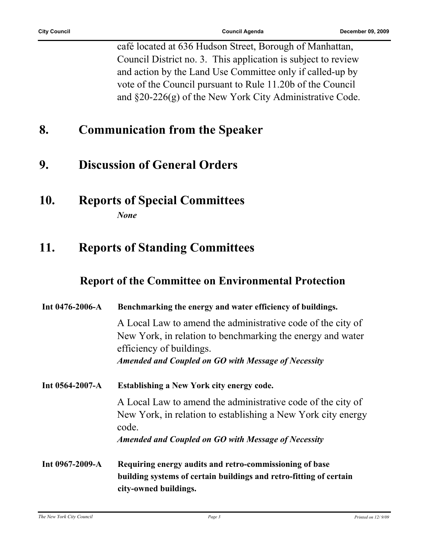café located at 636 Hudson Street, Borough of Manhattan, Council District no. 3. This application is subject to review and action by the Land Use Committee only if called-up by vote of the Council pursuant to Rule 11.20b of the Council and §20-226(g) of the New York City Administrative Code.

## **8. Communication from the Speaker**

### **9. Discussion of General Orders**

**10. Reports of Special Committees** *None*

### **11. Reports of Standing Committees**

#### **Report of the Committee on Environmental Protection**

| Int $0476 - 2006 - A$ | Benchmarking the energy and water efficiency of buildings.                                                                                             |
|-----------------------|--------------------------------------------------------------------------------------------------------------------------------------------------------|
|                       | A Local Law to amend the administrative code of the city of<br>New York, in relation to benchmarking the energy and water<br>efficiency of buildings.  |
|                       | Amended and Coupled on GO with Message of Necessity                                                                                                    |
| Int 0564-2007-A       | <b>Establishing a New York city energy code.</b>                                                                                                       |
|                       | A Local Law to amend the administrative code of the city of<br>New York, in relation to establishing a New York city energy<br>code.                   |
|                       | Amended and Coupled on GO with Message of Necessity                                                                                                    |
| Int $0967 - 2009 - A$ | Requiring energy audits and retro-commissioning of base<br>building systems of certain buildings and retro-fitting of certain<br>city-owned buildings. |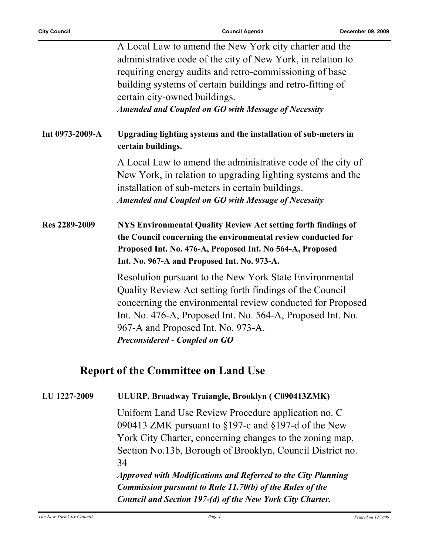|                 | A Local Law to amend the New York city charter and the<br>administrative code of the city of New York, in relation to<br>requiring energy audits and retro-commissioning of base<br>building systems of certain buildings and retro-fitting of<br>certain city-owned buildings.<br>Amended and Coupled on GO with Message of Necessity |
|-----------------|----------------------------------------------------------------------------------------------------------------------------------------------------------------------------------------------------------------------------------------------------------------------------------------------------------------------------------------|
| Int 0973-2009-A | Upgrading lighting systems and the installation of sub-meters in<br>certain buildings.                                                                                                                                                                                                                                                 |
|                 | A Local Law to amend the administrative code of the city of<br>New York, in relation to upgrading lighting systems and the<br>installation of sub-meters in certain buildings.<br>Amended and Coupled on GO with Message of Necessity                                                                                                  |
| Res 2289-2009   | <b>NYS Environmental Quality Review Act setting forth findings of</b><br>the Council concerning the environmental review conducted for<br>Proposed Int. No. 476-A, Proposed Int. No 564-A, Proposed<br>Int. No. 967-A and Proposed Int. No. 973-A.                                                                                     |
|                 | Resolution pursuant to the New York State Environmental<br>Quality Review Act setting forth findings of the Council<br>concerning the environmental review conducted for Proposed<br>Int. No. 476-A, Proposed Int. No. 564-A, Proposed Int. No.<br>967-A and Proposed Int. No. 973-A.<br><b>Preconsidered - Coupled on GO</b>          |
|                 | <b>Report of the Committee on Land Use</b>                                                                                                                                                                                                                                                                                             |
| LU 1227-2009    | ULURP, Broadway Traiangle, Brooklyn (C090413ZMK)                                                                                                                                                                                                                                                                                       |

Uniform Land Use Review Procedure application no. C 090413 ZMK pursuant to §197-c and §197-d of the New York City Charter, concerning changes to the zoning map, Section No.13b, Borough of Brooklyn, Council District no. 34

*Approved with Modifications and Referred to the City Planning Commission pursuant to Rule 11.70(b) of the Rules of the Council and Section 197-(d) of the New York City Charter.*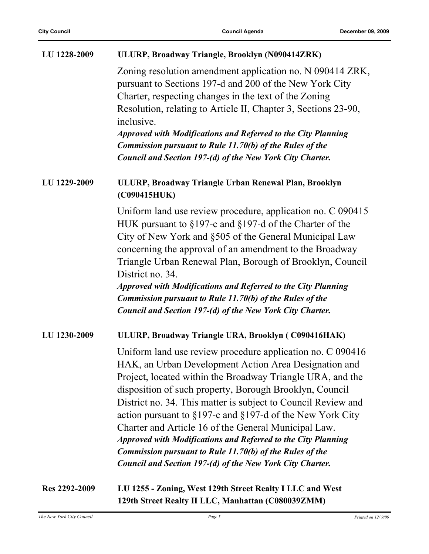| LU 1228-2009  | ULURP, Broadway Triangle, Brooklyn (N090414ZRK)                                                                                                                                                                                                                                                                                                                                                                                                                                                                                                                                                                                                      |
|---------------|------------------------------------------------------------------------------------------------------------------------------------------------------------------------------------------------------------------------------------------------------------------------------------------------------------------------------------------------------------------------------------------------------------------------------------------------------------------------------------------------------------------------------------------------------------------------------------------------------------------------------------------------------|
|               | Zoning resolution amendment application no. N 090414 ZRK,<br>pursuant to Sections 197-d and 200 of the New York City<br>Charter, respecting changes in the text of the Zoning<br>Resolution, relating to Article II, Chapter 3, Sections 23-90,<br>inclusive.<br><b>Approved with Modifications and Referred to the City Planning</b><br><b>Commission pursuant to Rule 11.70(b) of the Rules of the</b><br>Council and Section 197-(d) of the New York City Charter.                                                                                                                                                                                |
| LU 1229-2009  | ULURP, Broadway Triangle Urban Renewal Plan, Brooklyn<br>(C090415HUK)                                                                                                                                                                                                                                                                                                                                                                                                                                                                                                                                                                                |
|               | Uniform land use review procedure, application no. C 090415<br>HUK pursuant to $\S197$ -c and $\S197$ -d of the Charter of the<br>City of New York and §505 of the General Municipal Law<br>concerning the approval of an amendment to the Broadway<br>Triangle Urban Renewal Plan, Borough of Brooklyn, Council<br>District no. 34.<br><b>Approved with Modifications and Referred to the City Planning</b><br><b>Commission pursuant to Rule 11.70(b) of the Rules of the</b><br>Council and Section 197-(d) of the New York City Charter.                                                                                                         |
| LU 1230-2009  | ULURP, Broadway Triangle URA, Brooklyn (C090416HAK)                                                                                                                                                                                                                                                                                                                                                                                                                                                                                                                                                                                                  |
|               | Uniform land use review procedure application no. C 090416<br>HAK, an Urban Development Action Area Designation and<br>Project, located within the Broadway Triangle URA, and the<br>disposition of such property, Borough Brooklyn, Council<br>District no. 34. This matter is subject to Council Review and<br>action pursuant to $\S 197$ -c and $\S 197$ -d of the New York City<br>Charter and Article 16 of the General Municipal Law.<br><b>Approved with Modifications and Referred to the City Planning</b><br><b>Commission pursuant to Rule 11.70(b) of the Rules of the</b><br>Council and Section 197-(d) of the New York City Charter. |
| Res 2292-2009 | LU 1255 - Zoning, West 129th Street Realty I LLC and West<br>129th Street Realty II LLC, Manhattan (C080039ZMM)                                                                                                                                                                                                                                                                                                                                                                                                                                                                                                                                      |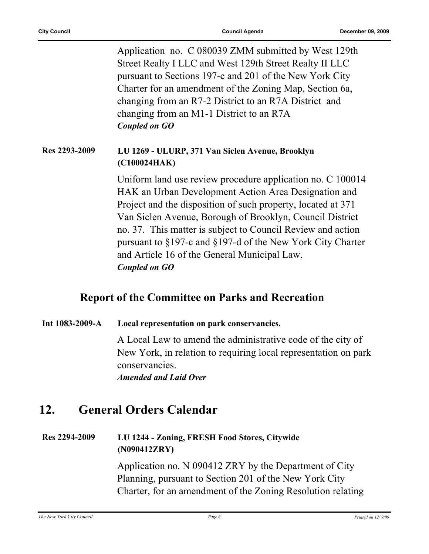|               | Application no. C 080039 ZMM submitted by West 129th<br>Street Realty I LLC and West 129th Street Realty II LLC<br>pursuant to Sections 197-c and 201 of the New York City<br>Charter for an amendment of the Zoning Map, Section 6a,<br>changing from an R7-2 District to an R7A District and<br>changing from an M1-1 District to an R7A<br><b>Coupled on GO</b>                                                                           |
|---------------|----------------------------------------------------------------------------------------------------------------------------------------------------------------------------------------------------------------------------------------------------------------------------------------------------------------------------------------------------------------------------------------------------------------------------------------------|
| Res 2293-2009 | LU 1269 - ULURP, 371 Van Siclen Avenue, Brooklyn<br>(C100024HAK)                                                                                                                                                                                                                                                                                                                                                                             |
|               | Uniform land use review procedure application no. C 100014<br>HAK an Urban Development Action Area Designation and<br>Project and the disposition of such property, located at 371<br>Van Siclen Avenue, Borough of Brooklyn, Council District<br>no. 37. This matter is subject to Council Review and action<br>pursuant to §197-c and §197-d of the New York City Charter<br>and Article 16 of the General Municipal Law.<br>Coupled on GO |

#### **Report of the Committee on Parks and Recreation**

#### **Int 1083-2009-A Local representation on park conservancies.**

A Local Law to amend the administrative code of the city of New York, in relation to requiring local representation on park conservancies.

*Amended and Laid Over*

## **12. General Orders Calendar**

#### **Res 2294-2009 LU 1244 - Zoning, FRESH Food Stores, Citywide (N090412ZRY)**

Application no. N 090412 ZRY by the Department of City Planning, pursuant to Section 201 of the New York City Charter, for an amendment of the Zoning Resolution relating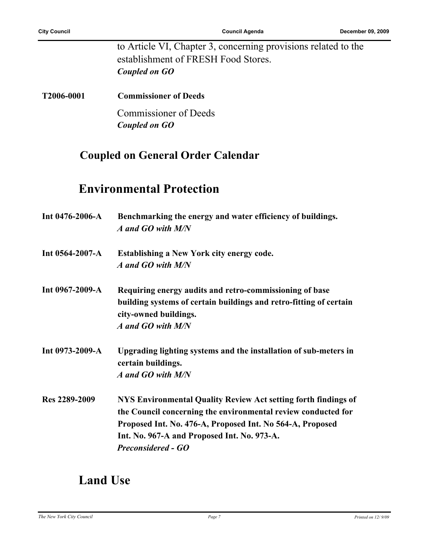to Article VI, Chapter 3, concerning provisions related to the establishment of FRESH Food Stores. *Coupled on GO*

**T2006-0001 Commissioner of Deeds**

Commissioner of Deeds *Coupled on GO*

#### **Coupled on General Order Calendar**

### **Environmental Protection**

| Int $0476 - 2006 - A$ | Benchmarking the energy and water efficiency of buildings.<br>A and GO with M/N             |
|-----------------------|---------------------------------------------------------------------------------------------|
| Int $0564-2007-A$     | <b>Establishing a New York city energy code.</b>                                            |
|                       | A and GO with M/N                                                                           |
| Int 0967-2009-A       | Requiring energy audits and retro-commissioning of base                                     |
|                       | building systems of certain buildings and retro-fitting of certain<br>city-owned buildings. |
|                       | A and GO with M/N                                                                           |
| Int $0973 - 2009 - A$ | Upgrading lighting systems and the installation of sub-meters in<br>certain buildings.      |
|                       | A and GO with M/N                                                                           |
| Res 2289-2009         | NYS Environmental Quality Review Act setting forth findings of                              |
|                       | the Council concerning the environmental review conducted for                               |
|                       | Proposed Int. No. 476-A, Proposed Int. No 564-A, Proposed                                   |
|                       | Int. No. 967-A and Proposed Int. No. 973-A.                                                 |
|                       | <b>Preconsidered - GO</b>                                                                   |

### **Land Use**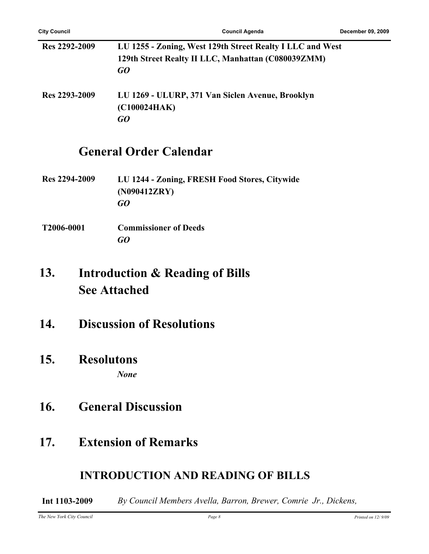| Res 2292-2009 | LU 1255 - Zoning, West 129th Street Realty I LLC and West<br>129th Street Realty II LLC, Manhattan (C080039ZMM)<br>GO |
|---------------|-----------------------------------------------------------------------------------------------------------------------|
| Res 2293-2009 | LU 1269 - ULURP, 371 Van Siclen Avenue, Brooklyn<br>(C100024HAK)<br>GO                                                |

#### **General Order Calendar**

- **Res 2294-2009 LU 1244 Zoning, FRESH Food Stores, Citywide (N090412ZRY)** *GO*
- **T2006-0001 Commissioner of Deeds** *GO*

#### **Introduction & Reading of Bills See Attached 13.**

- **14. Discussion of Resolutions**
- **15. Resolutons** *None*
- **16. General Discussion**
- **17. Extension of Remarks**

#### **INTRODUCTION AND READING OF BILLS**

**Int 1103-2009** *By Council Members Avella, Barron, Brewer, Comrie Jr., Dickens,*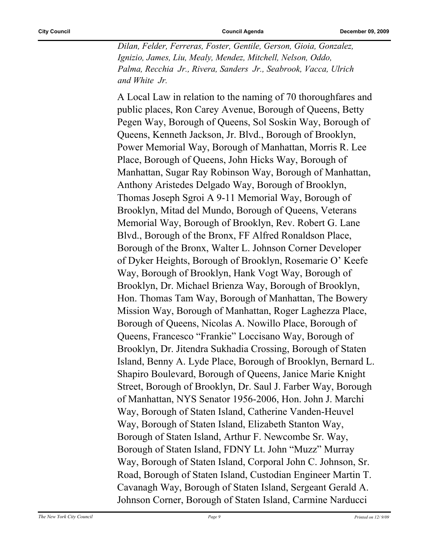*Dilan, Felder, Ferreras, Foster, Gentile, Gerson, Gioia, Gonzalez, Ignizio, James, Liu, Mealy, Mendez, Mitchell, Nelson, Oddo, Palma, Recchia Jr., Rivera, Sanders Jr., Seabrook, Vacca, Ulrich and White Jr.*

A Local Law in relation to the naming of 70 thoroughfares and public places, Ron Carey Avenue, Borough of Queens, Betty Pegen Way, Borough of Queens, Sol Soskin Way, Borough of Queens, Kenneth Jackson, Jr. Blvd., Borough of Brooklyn, Power Memorial Way, Borough of Manhattan, Morris R. Lee Place, Borough of Queens, John Hicks Way, Borough of Manhattan, Sugar Ray Robinson Way, Borough of Manhattan, Anthony Aristedes Delgado Way, Borough of Brooklyn, Thomas Joseph Sgroi A 9-11 Memorial Way, Borough of Brooklyn, Mitad del Mundo, Borough of Queens, Veterans Memorial Way, Borough of Brooklyn, Rev. Robert G. Lane Blvd., Borough of the Bronx, FF Alfred Ronaldson Place, Borough of the Bronx, Walter L. Johnson Corner Developer of Dyker Heights, Borough of Brooklyn, Rosemarie O' Keefe Way, Borough of Brooklyn, Hank Vogt Way, Borough of Brooklyn, Dr. Michael Brienza Way, Borough of Brooklyn, Hon. Thomas Tam Way, Borough of Manhattan, The Bowery Mission Way, Borough of Manhattan, Roger Laghezza Place, Borough of Queens, Nicolas A. Nowillo Place, Borough of Queens, Francesco "Frankie" Loccisano Way, Borough of Brooklyn, Dr. Jitendra Sukhadia Crossing, Borough of Staten Island, Benny A. Lyde Place, Borough of Brooklyn, Bernard L. Shapiro Boulevard, Borough of Queens, Janice Marie Knight Street, Borough of Brooklyn, Dr. Saul J. Farber Way, Borough of Manhattan, NYS Senator 1956-2006, Hon. John J. Marchi Way, Borough of Staten Island, Catherine Vanden-Heuvel Way, Borough of Staten Island, Elizabeth Stanton Way, Borough of Staten Island, Arthur F. Newcombe Sr. Way, Borough of Staten Island, FDNY Lt. John "Muzz" Murray Way, Borough of Staten Island, Corporal John C. Johnson, Sr. Road, Borough of Staten Island, Custodian Engineer Martin T. Cavanagh Way, Borough of Staten Island, Sergeant Gerald A. Johnson Corner, Borough of Staten Island, Carmine Narducci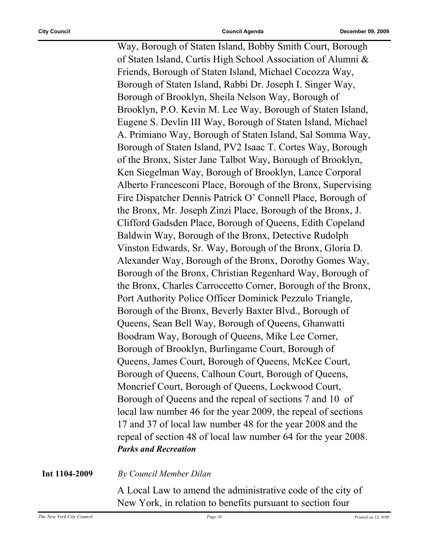Way, Borough of Staten Island, Bobby Smith Court, Borough of Staten Island, Curtis High School Association of Alumni & Friends, Borough of Staten Island, Michael Cocozza Way, Borough of Staten Island, Rabbi Dr. Joseph I. Singer Way, Borough of Brooklyn, Sheila Nelson Way, Borough of Brooklyn, P.O. Kevin M. Lee Way, Borough of Staten Island, Eugene S. Devlin III Way, Borough of Staten Island, Michael A. Primiano Way, Borough of Staten Island, Sal Somma Way, Borough of Staten Island, PV2 Isaac T. Cortes Way, Borough of the Bronx, Sister Jane Talbot Way, Borough of Brooklyn, Ken Siegelman Way, Borough of Brooklyn, Lance Corporal Alberto Francesconi Place, Borough of the Bronx, Supervising Fire Dispatcher Dennis Patrick O' Connell Place, Borough of the Bronx, Mr. Joseph Zinzi Place, Borough of the Bronx, J. Clifford Gadsden Place, Borough of Queens, Edith Copeland Baldwin Way, Borough of the Bronx, Detective Rudolph Vinston Edwards, Sr. Way, Borough of the Bronx, Gloria D. Alexander Way, Borough of the Bronx, Dorothy Gomes Way, Borough of the Bronx, Christian Regenhard Way, Borough of the Bronx, Charles Carroccetto Corner, Borough of the Bronx, Port Authority Police Officer Dominick Pezzulo Triangle, Borough of the Bronx, Beverly Baxter Blvd., Borough of Queens, Sean Bell Way, Borough of Queens, Ghanwatti Boodram Way, Borough of Queens, Mike Lee Corner, Borough of Brooklyn, Burlingame Court, Borough of Queens, James Court, Borough of Queens, McKee Court, Borough of Queens, Calhoun Court, Borough of Queens, Moncrief Court, Borough of Queens, Lockwood Court, Borough of Queens and the repeal of sections 7 and 10 of local law number 46 for the year 2009, the repeal of sections 17 and 37 of local law number 48 for the year 2008 and the repeal of section 48 of local law number 64 for the year 2008. *Parks and Recreation*

#### **Int 1104-2009** *By Council Member Dilan*

A Local Law to amend the administrative code of the city of New York, in relation to benefits pursuant to section four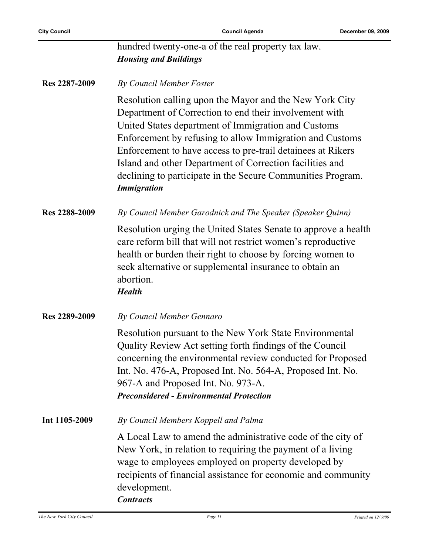$\overline{a}$ 

|               | hundred twenty-one-a of the real property tax law.<br><b>Housing and Buildings</b>                                                                                                                                                                                                                                                                                                                                                                   |
|---------------|------------------------------------------------------------------------------------------------------------------------------------------------------------------------------------------------------------------------------------------------------------------------------------------------------------------------------------------------------------------------------------------------------------------------------------------------------|
| Res 2287-2009 | <b>By Council Member Foster</b>                                                                                                                                                                                                                                                                                                                                                                                                                      |
|               | Resolution calling upon the Mayor and the New York City<br>Department of Correction to end their involvement with<br>United States department of Immigration and Customs<br>Enforcement by refusing to allow Immigration and Customs<br>Enforcement to have access to pre-trail detainees at Rikers<br>Island and other Department of Correction facilities and<br>declining to participate in the Secure Communities Program.<br><b>Immigration</b> |
| Res 2288-2009 | By Council Member Garodnick and The Speaker (Speaker Quinn)                                                                                                                                                                                                                                                                                                                                                                                          |
|               | Resolution urging the United States Senate to approve a health<br>care reform bill that will not restrict women's reproductive<br>health or burden their right to choose by forcing women to<br>seek alternative or supplemental insurance to obtain an<br>abortion.<br><b>Health</b>                                                                                                                                                                |
| Res 2289-2009 | By Council Member Gennaro                                                                                                                                                                                                                                                                                                                                                                                                                            |
|               | Resolution pursuant to the New York State Environmental<br>Quality Review Act setting forth findings of the Council<br>concerning the environmental review conducted for Proposed<br>Int. No. 476-A, Proposed Int. No. 564-A, Proposed Int. No.<br>967-A and Proposed Int. No. 973-A.<br><b>Preconsidered - Environmental Protection</b>                                                                                                             |
| Int 1105-2009 | By Council Members Koppell and Palma                                                                                                                                                                                                                                                                                                                                                                                                                 |
|               | A Local Law to amend the administrative code of the city of<br>New York, in relation to requiring the payment of a living<br>wage to employees employed on property developed by<br>recipients of financial assistance for economic and community<br>development.<br><b>Contracts</b>                                                                                                                                                                |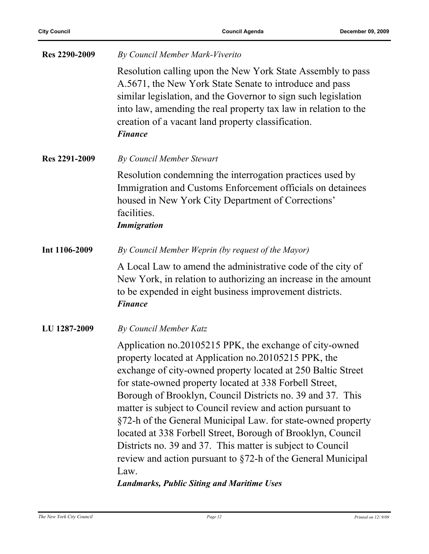| Res 2290-2009 | By Council Member Mark-Viverito                                                                                                                                                                                                                                                                                                                                                                                                                                                                                                                                                                                                                                                                  |
|---------------|--------------------------------------------------------------------------------------------------------------------------------------------------------------------------------------------------------------------------------------------------------------------------------------------------------------------------------------------------------------------------------------------------------------------------------------------------------------------------------------------------------------------------------------------------------------------------------------------------------------------------------------------------------------------------------------------------|
|               | Resolution calling upon the New York State Assembly to pass<br>A.5671, the New York State Senate to introduce and pass<br>similar legislation, and the Governor to sign such legislation<br>into law, amending the real property tax law in relation to the<br>creation of a vacant land property classification.<br><b>Finance</b>                                                                                                                                                                                                                                                                                                                                                              |
| Res 2291-2009 | <b>By Council Member Stewart</b>                                                                                                                                                                                                                                                                                                                                                                                                                                                                                                                                                                                                                                                                 |
|               | Resolution condemning the interrogation practices used by<br>Immigration and Customs Enforcement officials on detainees<br>housed in New York City Department of Corrections'<br>facilities.<br><b>Immigration</b>                                                                                                                                                                                                                                                                                                                                                                                                                                                                               |
| Int 1106-2009 | By Council Member Weprin (by request of the Mayor)                                                                                                                                                                                                                                                                                                                                                                                                                                                                                                                                                                                                                                               |
|               | A Local Law to amend the administrative code of the city of<br>New York, in relation to authorizing an increase in the amount<br>to be expended in eight business improvement districts.<br><b>Finance</b>                                                                                                                                                                                                                                                                                                                                                                                                                                                                                       |
| LU 1287-2009  | By Council Member Katz                                                                                                                                                                                                                                                                                                                                                                                                                                                                                                                                                                                                                                                                           |
|               | Application no.20105215 PPK, the exchange of city-owned<br>property located at Application no.20105215 PPK, the<br>exchange of city-owned property located at 250 Baltic Street<br>for state-owned property located at 338 Forbell Street,<br>Borough of Brooklyn, Council Districts no. 39 and 37. This<br>matter is subject to Council review and action pursuant to<br>§72-h of the General Municipal Law. for state-owned property<br>located at 338 Forbell Street, Borough of Brooklyn, Council<br>Districts no. 39 and 37. This matter is subject to Council<br>review and action pursuant to §72-h of the General Municipal<br>Law.<br><b>Landmarks, Public Siting and Maritime Uses</b> |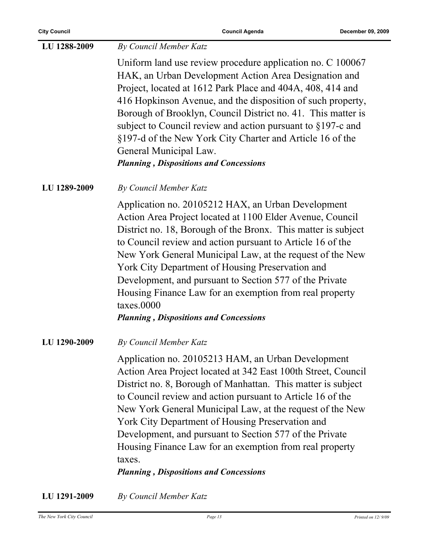| LU 1288-2009 | By Council Member Katz                                                                                                                                                                                                                                                                                                                                                                                                                                                                                                                               |
|--------------|------------------------------------------------------------------------------------------------------------------------------------------------------------------------------------------------------------------------------------------------------------------------------------------------------------------------------------------------------------------------------------------------------------------------------------------------------------------------------------------------------------------------------------------------------|
|              | Uniform land use review procedure application no. C 100067<br>HAK, an Urban Development Action Area Designation and<br>Project, located at 1612 Park Place and 404A, 408, 414 and<br>416 Hopkinson Avenue, and the disposition of such property,<br>Borough of Brooklyn, Council District no. 41. This matter is<br>subject to Council review and action pursuant to $\S 197$ -c and<br>§197-d of the New York City Charter and Article 16 of the<br>General Municipal Law.<br><b>Planning, Dispositions and Concessions</b>                         |
| LU 1289-2009 | By Council Member Katz                                                                                                                                                                                                                                                                                                                                                                                                                                                                                                                               |
|              | Application no. 20105212 HAX, an Urban Development<br>Action Area Project located at 1100 Elder Avenue, Council<br>District no. 18, Borough of the Bronx. This matter is subject<br>to Council review and action pursuant to Article 16 of the<br>New York General Municipal Law, at the request of the New<br>York City Department of Housing Preservation and<br>Development, and pursuant to Section 577 of the Private<br>Housing Finance Law for an exemption from real property<br>taxes.0000<br><b>Planning, Dispositions and Concessions</b> |
| LU 1290-2009 | By Council Member Katz                                                                                                                                                                                                                                                                                                                                                                                                                                                                                                                               |
|              | Application no. 20105213 HAM, an Urban Development<br>Action Area Project located at 342 East 100th Street, Council<br>District no. 8, Borough of Manhattan. This matter is subject<br>to Council review and action pursuant to Article 16 of the<br>New York General Municipal Law, at the request of the New<br>York City Department of Housing Preservation and<br>Development, and pursuant to Section 577 of the Private<br>Housing Finance Law for an exemption from real property<br>taxes.<br><b>Planning, Dispositions and Concessions</b>  |
| LU 1291-2009 | By Council Member Katz                                                                                                                                                                                                                                                                                                                                                                                                                                                                                                                               |

*Page 13 Printed on 12/9/09 Page 13 Printed on 12/9/09*